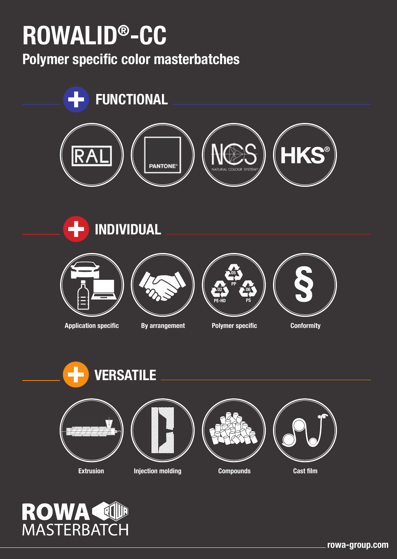# **ROWALID®-CC**

**Polymer specific color masterbatches**